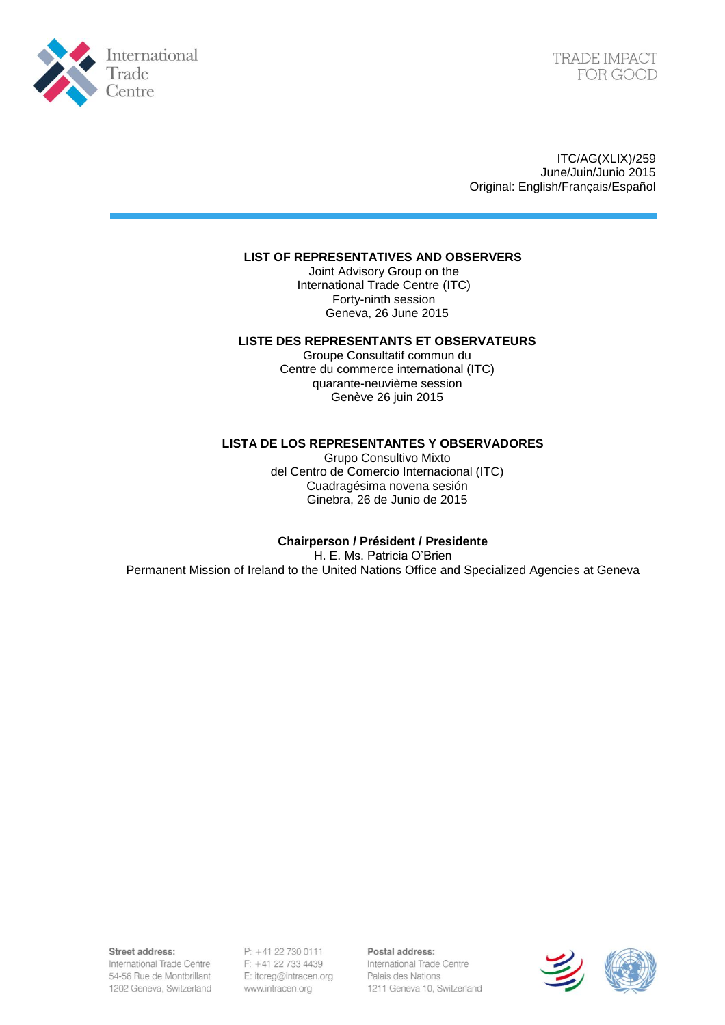



ITC/AG(XLIX)/259 June/Juin/Junio 2015 Original: English/Français/Español

## **LIST OF REPRESENTATIVES AND OBSERVERS**

Joint Advisory Group on the International Trade Centre (ITC) Forty-ninth session Geneva, 26 June 2015

## **LISTE DES REPRESENTANTS ET OBSERVATEURS**

Groupe Consultatif commun du Centre du commerce international (ITC) quarante-neuvième session Genève 26 juin 2015

## **LISTA DE LOS REPRESENTANTES Y OBSERVADORES**

Grupo Consultivo Mixto del Centro de Comercio Internacional (ITC) Cuadragésima novena sesión Ginebra, 26 de Junio de 2015

**Chairperson / Président / Presidente**

H. E. Ms. Patricia O'Brien Permanent Mission of Ireland to the United Nations Office and Specialized Agencies at Geneva

Street address:

International Trade Centre 54-56 Rue de Montbrillant 1202 Geneva, Switzerland P: +41 22 730 0111 F: +41 22 733 4439 E: itcreg@intracen.org www.intracen.org

Postal address: International Trade Centre Palais des Nations 1211 Geneva 10, Switzerland

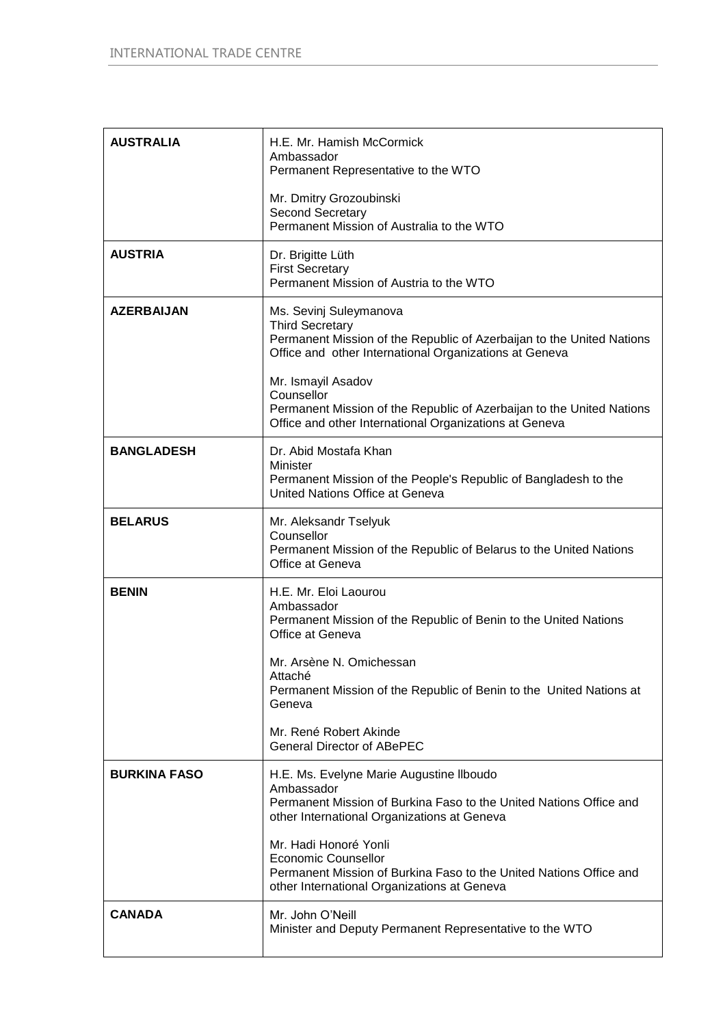| <b>AUSTRALIA</b>    | H.E. Mr. Hamish McCormick<br>Ambassador<br>Permanent Representative to the WTO                                                                                                      |
|---------------------|-------------------------------------------------------------------------------------------------------------------------------------------------------------------------------------|
|                     | Mr. Dmitry Grozoubinski<br>Second Secretary<br>Permanent Mission of Australia to the WTO                                                                                            |
| <b>AUSTRIA</b>      | Dr. Brigitte Lüth<br><b>First Secretary</b><br>Permanent Mission of Austria to the WTO                                                                                              |
| <b>AZERBAIJAN</b>   | Ms. Sevinj Suleymanova<br><b>Third Secretary</b><br>Permanent Mission of the Republic of Azerbaijan to the United Nations<br>Office and other International Organizations at Geneva |
|                     | Mr. Ismayil Asadov<br>Counsellor<br>Permanent Mission of the Republic of Azerbaijan to the United Nations<br>Office and other International Organizations at Geneva                 |
| <b>BANGLADESH</b>   | Dr. Abid Mostafa Khan<br>Minister<br>Permanent Mission of the People's Republic of Bangladesh to the<br>United Nations Office at Geneva                                             |
| <b>BELARUS</b>      | Mr. Aleksandr Tselyuk<br>Counsellor<br>Permanent Mission of the Republic of Belarus to the United Nations<br>Office at Geneva                                                       |
| <b>BENIN</b>        | H.E. Mr. Eloi Laourou<br>Ambassador<br>Permanent Mission of the Republic of Benin to the United Nations<br>Office at Geneva                                                         |
|                     | Mr. Arsène N. Omichessan<br>Attaché<br>Permanent Mission of the Republic of Benin to the United Nations at<br>Geneva                                                                |
|                     | Mr. René Robert Akinde<br><b>General Director of ABePEC</b>                                                                                                                         |
| <b>BURKINA FASO</b> | H.E. Ms. Evelyne Marie Augustine Ilboudo<br>Ambassador<br>Permanent Mission of Burkina Faso to the United Nations Office and<br>other International Organizations at Geneva         |
|                     | Mr. Hadi Honoré Yonli<br><b>Economic Counsellor</b><br>Permanent Mission of Burkina Faso to the United Nations Office and<br>other International Organizations at Geneva            |
| <b>CANADA</b>       | Mr. John O'Neill<br>Minister and Deputy Permanent Representative to the WTO                                                                                                         |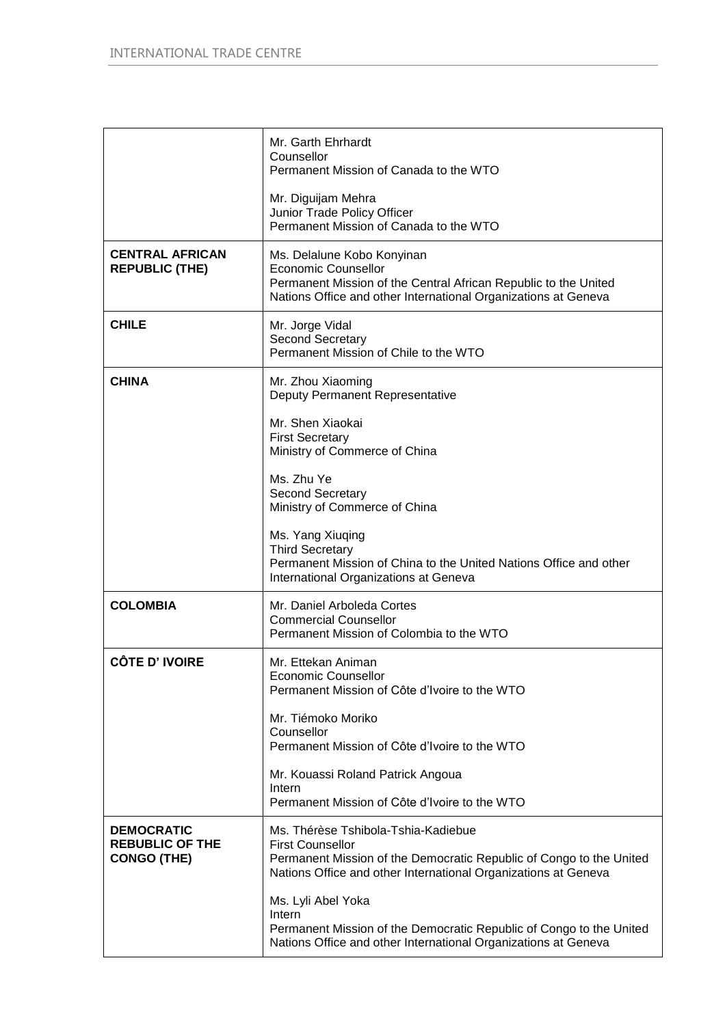|                                                                   | Mr. Garth Ehrhardt<br>Counsellor<br>Permanent Mission of Canada to the WTO                                                                                                                              |
|-------------------------------------------------------------------|---------------------------------------------------------------------------------------------------------------------------------------------------------------------------------------------------------|
|                                                                   | Mr. Diguijam Mehra<br>Junior Trade Policy Officer<br>Permanent Mission of Canada to the WTO                                                                                                             |
| <b>CENTRAL AFRICAN</b><br><b>REPUBLIC (THE)</b>                   | Ms. Delalune Kobo Konyinan<br><b>Economic Counsellor</b><br>Permanent Mission of the Central African Republic to the United<br>Nations Office and other International Organizations at Geneva           |
| <b>CHILE</b>                                                      | Mr. Jorge Vidal<br><b>Second Secretary</b><br>Permanent Mission of Chile to the WTO                                                                                                                     |
| <b>CHINA</b>                                                      | Mr. Zhou Xiaoming<br>Deputy Permanent Representative                                                                                                                                                    |
|                                                                   | Mr. Shen Xiaokai<br><b>First Secretary</b><br>Ministry of Commerce of China                                                                                                                             |
|                                                                   | Ms. Zhu Ye<br>Second Secretary<br>Ministry of Commerce of China                                                                                                                                         |
|                                                                   | Ms. Yang Xiuqing<br><b>Third Secretary</b><br>Permanent Mission of China to the United Nations Office and other<br>International Organizations at Geneva                                                |
| <b>COLOMBIA</b>                                                   | Mr. Daniel Arboleda Cortes<br><b>Commercial Counsellor</b><br>Permanent Mission of Colombia to the WTO                                                                                                  |
| <b>CÔTE D' IVOIRE</b>                                             | Mr. Ettekan Animan<br>Economic Counsellor<br>Permanent Mission of Côte d'Ivoire to the WTO                                                                                                              |
|                                                                   | Mr. Tiémoko Moriko<br>Counsellor<br>Permanent Mission of Côte d'Ivoire to the WTO                                                                                                                       |
|                                                                   | Mr. Kouassi Roland Patrick Angoua<br>Intern<br>Permanent Mission of Côte d'Ivoire to the WTO                                                                                                            |
| <b>DEMOCRATIC</b><br><b>REBUBLIC OF THE</b><br><b>CONGO (THE)</b> | Ms. Thérèse Tshibola-Tshia-Kadiebue<br><b>First Counsellor</b><br>Permanent Mission of the Democratic Republic of Congo to the United<br>Nations Office and other International Organizations at Geneva |
|                                                                   | Ms. Lyli Abel Yoka<br>Intern<br>Permanent Mission of the Democratic Republic of Congo to the United<br>Nations Office and other International Organizations at Geneva                                   |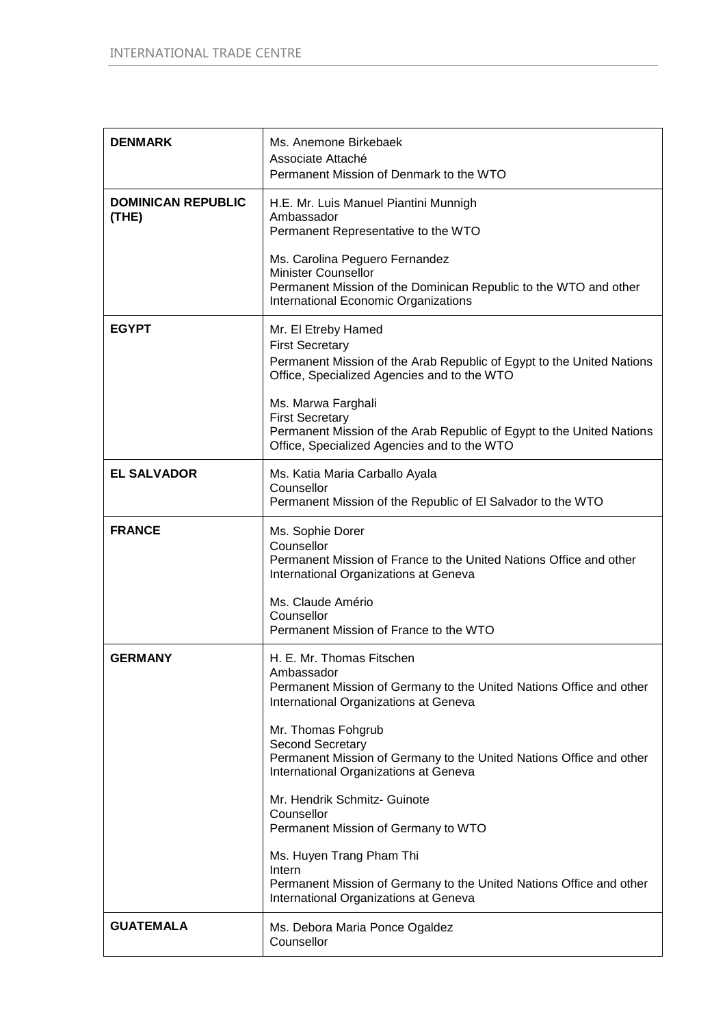| <b>DENMARK</b>                     | Ms. Anemone Birkebaek<br>Associate Attaché<br>Permanent Mission of Denmark to the WTO                                                                                    |
|------------------------------------|--------------------------------------------------------------------------------------------------------------------------------------------------------------------------|
| <b>DOMINICAN REPUBLIC</b><br>(THE) | H.E. Mr. Luis Manuel Piantini Munnigh<br>Ambassador<br>Permanent Representative to the WTO                                                                               |
|                                    | Ms. Carolina Peguero Fernandez<br><b>Minister Counsellor</b><br>Permanent Mission of the Dominican Republic to the WTO and other<br>International Economic Organizations |
| <b>EGYPT</b>                       | Mr. El Etreby Hamed<br><b>First Secretary</b><br>Permanent Mission of the Arab Republic of Egypt to the United Nations<br>Office, Specialized Agencies and to the WTO    |
|                                    | Ms. Marwa Farghali<br><b>First Secretary</b><br>Permanent Mission of the Arab Republic of Egypt to the United Nations<br>Office, Specialized Agencies and to the WTO     |
| <b>EL SALVADOR</b>                 | Ms. Katia Maria Carballo Ayala<br>Counsellor<br>Permanent Mission of the Republic of El Salvador to the WTO                                                              |
| <b>FRANCE</b>                      | Ms. Sophie Dorer<br>Counsellor<br>Permanent Mission of France to the United Nations Office and other<br>International Organizations at Geneva                            |
|                                    | Ms. Claude Amério<br>Counsellor<br>Permanent Mission of France to the WTO                                                                                                |
| <b>GERMANY</b>                     | H. E. Mr. Thomas Fitschen<br>Ambassador<br>Permanent Mission of Germany to the United Nations Office and other<br>International Organizations at Geneva                  |
|                                    | Mr. Thomas Fohgrub<br>Second Secretary<br>Permanent Mission of Germany to the United Nations Office and other<br>International Organizations at Geneva                   |
|                                    | Mr. Hendrik Schmitz- Guinote<br>Counsellor<br>Permanent Mission of Germany to WTO                                                                                        |
|                                    | Ms. Huyen Trang Pham Thi<br>Intern<br>Permanent Mission of Germany to the United Nations Office and other<br>International Organizations at Geneva                       |
| <b>GUATEMALA</b>                   | Ms. Debora Maria Ponce Ogaldez<br>Counsellor                                                                                                                             |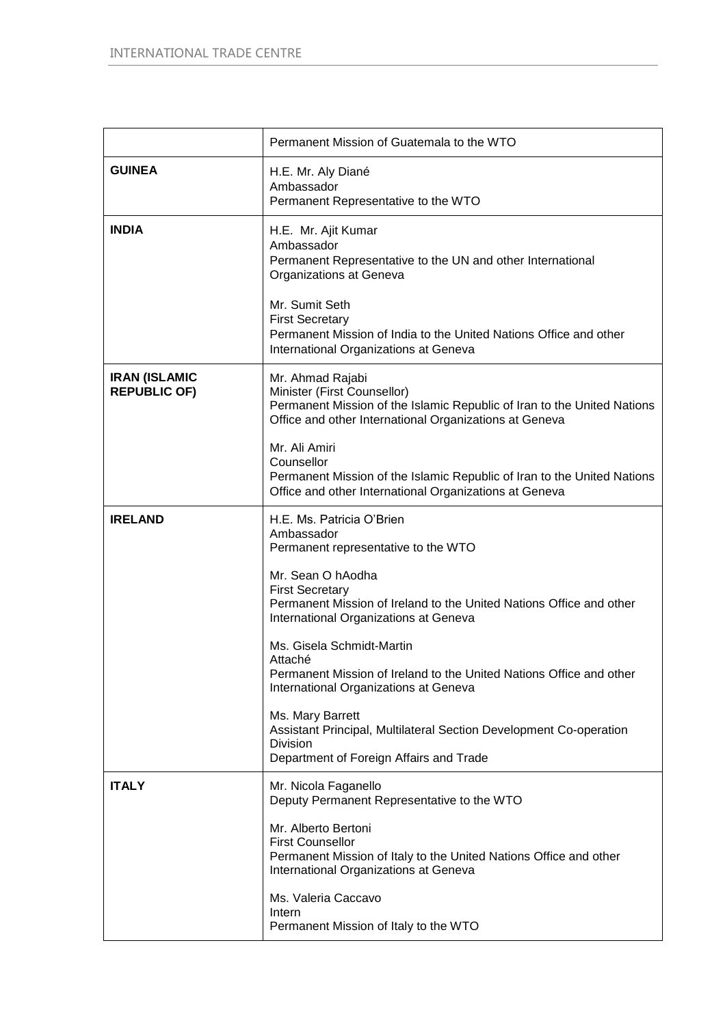|                                             | Permanent Mission of Guatemala to the WTO                                                                                                                                            |
|---------------------------------------------|--------------------------------------------------------------------------------------------------------------------------------------------------------------------------------------|
| <b>GUINEA</b>                               | H.E. Mr. Aly Diané<br>Ambassador<br>Permanent Representative to the WTO                                                                                                              |
| <b>INDIA</b>                                | H.E. Mr. Ajit Kumar<br>Ambassador<br>Permanent Representative to the UN and other International<br>Organizations at Geneva                                                           |
|                                             | Mr. Sumit Seth<br><b>First Secretary</b><br>Permanent Mission of India to the United Nations Office and other<br>International Organizations at Geneva                               |
| <b>IRAN (ISLAMIC</b><br><b>REPUBLIC OF)</b> | Mr. Ahmad Rajabi<br>Minister (First Counsellor)<br>Permanent Mission of the Islamic Republic of Iran to the United Nations<br>Office and other International Organizations at Geneva |
|                                             | Mr. Ali Amiri<br>Counsellor<br>Permanent Mission of the Islamic Republic of Iran to the United Nations<br>Office and other International Organizations at Geneva                     |
| <b>IRELAND</b>                              | H.E. Ms. Patricia O'Brien<br>Ambassador<br>Permanent representative to the WTO                                                                                                       |
|                                             | Mr. Sean O hAodha<br><b>First Secretary</b><br>Permanent Mission of Ireland to the United Nations Office and other<br>International Organizations at Geneva                          |
|                                             | Ms. Gisela Schmidt-Martin<br>Attaché<br>Permanent Mission of Ireland to the United Nations Office and other<br>International Organizations at Geneva                                 |
|                                             | Ms. Mary Barrett<br>Assistant Principal, Multilateral Section Development Co-operation<br><b>Division</b><br>Department of Foreign Affairs and Trade                                 |
| <b>ITALY</b>                                | Mr. Nicola Faganello<br>Deputy Permanent Representative to the WTO                                                                                                                   |
|                                             | Mr. Alberto Bertoni<br><b>First Counsellor</b><br>Permanent Mission of Italy to the United Nations Office and other<br>International Organizations at Geneva                         |
|                                             | Ms. Valeria Caccavo<br>Intern<br>Permanent Mission of Italy to the WTO                                                                                                               |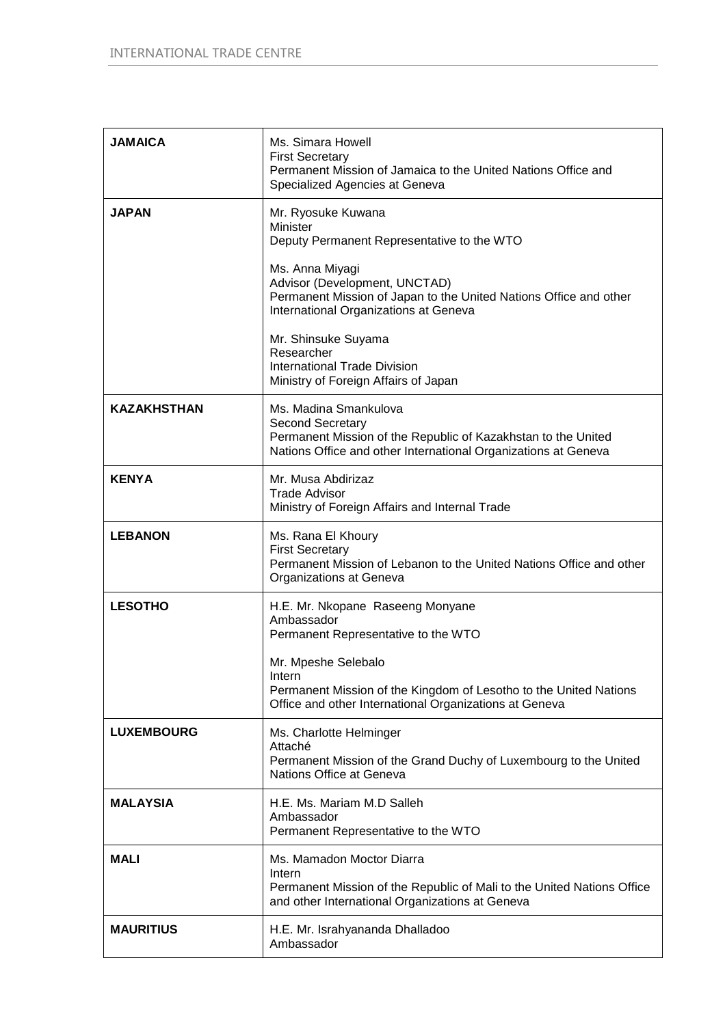| <b>JAMAICA</b>     | Ms. Simara Howell<br><b>First Secretary</b><br>Permanent Mission of Jamaica to the United Nations Office and<br>Specialized Agencies at Geneva                                      |
|--------------------|-------------------------------------------------------------------------------------------------------------------------------------------------------------------------------------|
| <b>JAPAN</b>       | Mr. Ryosuke Kuwana<br>Minister<br>Deputy Permanent Representative to the WTO                                                                                                        |
|                    | Ms. Anna Miyagi<br>Advisor (Development, UNCTAD)<br>Permanent Mission of Japan to the United Nations Office and other<br>International Organizations at Geneva                      |
|                    | Mr. Shinsuke Suyama<br>Researcher<br><b>International Trade Division</b><br>Ministry of Foreign Affairs of Japan                                                                    |
| <b>KAZAKHSTHAN</b> | Ms. Madina Smankulova<br><b>Second Secretary</b><br>Permanent Mission of the Republic of Kazakhstan to the United<br>Nations Office and other International Organizations at Geneva |
| <b>KENYA</b>       | Mr. Musa Abdirizaz<br><b>Trade Advisor</b><br>Ministry of Foreign Affairs and Internal Trade                                                                                        |
| <b>LEBANON</b>     | Ms. Rana El Khoury<br><b>First Secretary</b><br>Permanent Mission of Lebanon to the United Nations Office and other<br>Organizations at Geneva                                      |
| <b>LESOTHO</b>     | H.E. Mr. Nkopane Raseeng Monyane<br>Ambassador<br>Permanent Representative to the WTO                                                                                               |
|                    | Mr. Mpeshe Selebalo<br>Intern<br>Permanent Mission of the Kingdom of Lesotho to the United Nations<br>Office and other International Organizations at Geneva                        |
| <b>LUXEMBOURG</b>  | Ms. Charlotte Helminger<br>Attaché<br>Permanent Mission of the Grand Duchy of Luxembourg to the United<br>Nations Office at Geneva                                                  |
| <b>MALAYSIA</b>    | H.E. Ms. Mariam M.D Salleh<br>Ambassador<br>Permanent Representative to the WTO                                                                                                     |
| <b>MALI</b>        | Ms. Mamadon Moctor Diarra<br>Intern<br>Permanent Mission of the Republic of Mali to the United Nations Office<br>and other International Organizations at Geneva                    |
| <b>MAURITIUS</b>   | H.E. Mr. Israhyananda Dhalladoo<br>Ambassador                                                                                                                                       |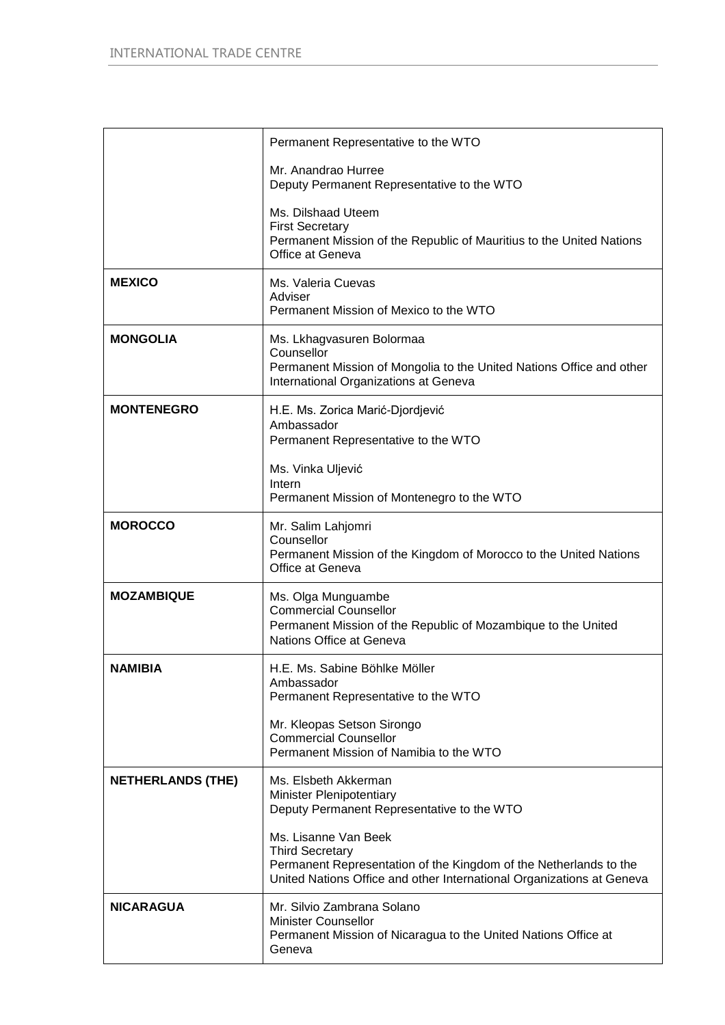|                          | Permanent Representative to the WTO                                                                                                                                                          |
|--------------------------|----------------------------------------------------------------------------------------------------------------------------------------------------------------------------------------------|
|                          | Mr. Anandrao Hurree<br>Deputy Permanent Representative to the WTO                                                                                                                            |
|                          | Ms. Dilshaad Uteem<br><b>First Secretary</b><br>Permanent Mission of the Republic of Mauritius to the United Nations<br>Office at Geneva                                                     |
| <b>MEXICO</b>            | Ms. Valeria Cuevas<br>Adviser<br>Permanent Mission of Mexico to the WTO                                                                                                                      |
| <b>MONGOLIA</b>          | Ms. Lkhagvasuren Bolormaa<br>Counsellor<br>Permanent Mission of Mongolia to the United Nations Office and other<br>International Organizations at Geneva                                     |
| <b>MONTENEGRO</b>        | H.E. Ms. Zorica Marić-Djordjević<br>Ambassador<br>Permanent Representative to the WTO                                                                                                        |
|                          | Ms. Vinka Uljević<br>Intern<br>Permanent Mission of Montenegro to the WTO                                                                                                                    |
| <b>MOROCCO</b>           | Mr. Salim Lahjomri<br>Counsellor<br>Permanent Mission of the Kingdom of Morocco to the United Nations<br>Office at Geneva                                                                    |
| <b>MOZAMBIQUE</b>        | Ms. Olga Munguambe<br><b>Commercial Counsellor</b><br>Permanent Mission of the Republic of Mozambique to the United<br>Nations Office at Geneva                                              |
| <b>NAMIBIA</b>           | H.E. Ms. Sabine Böhlke Möller<br>Ambassador<br>Permanent Representative to the WTO                                                                                                           |
|                          | Mr. Kleopas Setson Sirongo<br><b>Commercial Counsellor</b><br>Permanent Mission of Namibia to the WTO                                                                                        |
| <b>NETHERLANDS (THE)</b> | Ms. Elsbeth Akkerman<br>Minister Plenipotentiary<br>Deputy Permanent Representative to the WTO                                                                                               |
|                          | Ms. Lisanne Van Beek<br><b>Third Secretary</b><br>Permanent Representation of the Kingdom of the Netherlands to the<br>United Nations Office and other International Organizations at Geneva |
| <b>NICARAGUA</b>         | Mr. Silvio Zambrana Solano<br><b>Minister Counsellor</b><br>Permanent Mission of Nicaragua to the United Nations Office at<br>Geneva                                                         |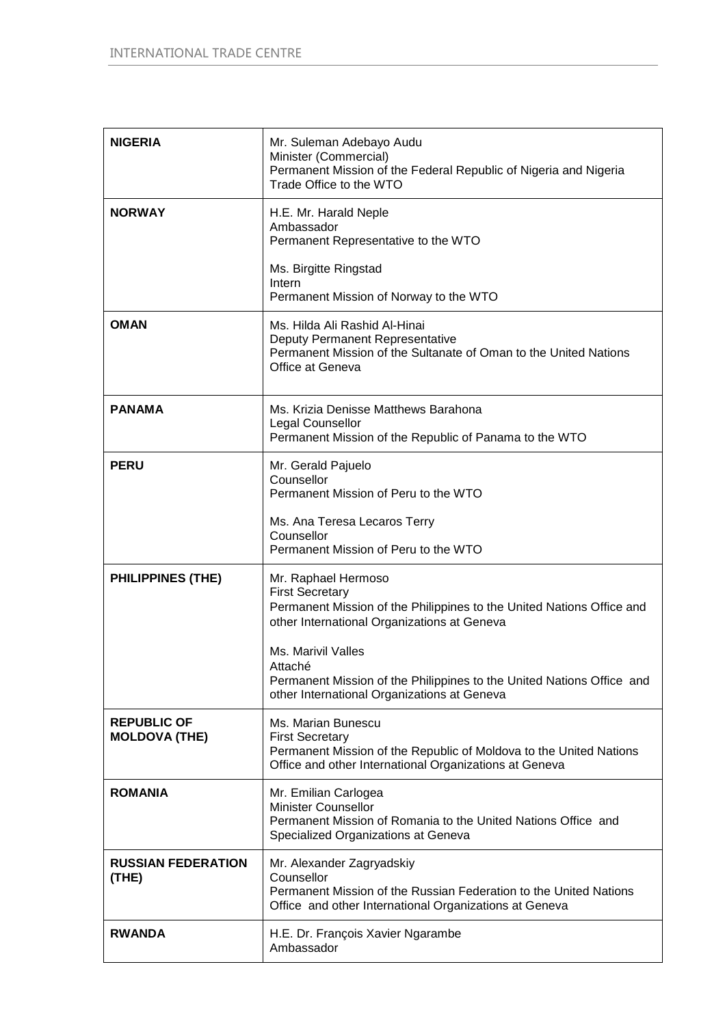| <b>NIGERIA</b>                             | Mr. Suleman Adebayo Audu<br>Minister (Commercial)<br>Permanent Mission of the Federal Republic of Nigeria and Nigeria<br>Trade Office to the WTO                             |
|--------------------------------------------|------------------------------------------------------------------------------------------------------------------------------------------------------------------------------|
| <b>NORWAY</b>                              | H.E. Mr. Harald Neple<br>Ambassador<br>Permanent Representative to the WTO                                                                                                   |
|                                            | Ms. Birgitte Ringstad<br>Intern<br>Permanent Mission of Norway to the WTO                                                                                                    |
| <b>OMAN</b>                                | Ms. Hilda Ali Rashid Al-Hinai<br>Deputy Permanent Representative<br>Permanent Mission of the Sultanate of Oman to the United Nations<br>Office at Geneva                     |
| <b>PANAMA</b>                              | Ms. Krizia Denisse Matthews Barahona<br><b>Legal Counsellor</b><br>Permanent Mission of the Republic of Panama to the WTO                                                    |
| <b>PERU</b>                                | Mr. Gerald Pajuelo<br>Counsellor<br>Permanent Mission of Peru to the WTO                                                                                                     |
|                                            | Ms. Ana Teresa Lecaros Terry<br>Counsellor<br>Permanent Mission of Peru to the WTO                                                                                           |
| <b>PHILIPPINES (THE)</b>                   | Mr. Raphael Hermoso<br><b>First Secretary</b><br>Permanent Mission of the Philippines to the United Nations Office and<br>other International Organizations at Geneva        |
|                                            | Ms. Marivil Valles<br>Attaché<br>Permanent Mission of the Philippines to the United Nations Office and<br>other International Organizations at Geneva                        |
| <b>REPUBLIC OF</b><br><b>MOLDOVA (THE)</b> | Ms. Marian Bunescu<br><b>First Secretary</b><br>Permanent Mission of the Republic of Moldova to the United Nations<br>Office and other International Organizations at Geneva |
| <b>ROMANIA</b>                             | Mr. Emilian Carlogea<br><b>Minister Counsellor</b><br>Permanent Mission of Romania to the United Nations Office and<br>Specialized Organizations at Geneva                   |
| <b>RUSSIAN FEDERATION</b><br>(THE)         | Mr. Alexander Zagryadskiy<br>Counsellor<br>Permanent Mission of the Russian Federation to the United Nations<br>Office and other International Organizations at Geneva       |
| <b>RWANDA</b>                              | H.E. Dr. François Xavier Ngarambe<br>Ambassador                                                                                                                              |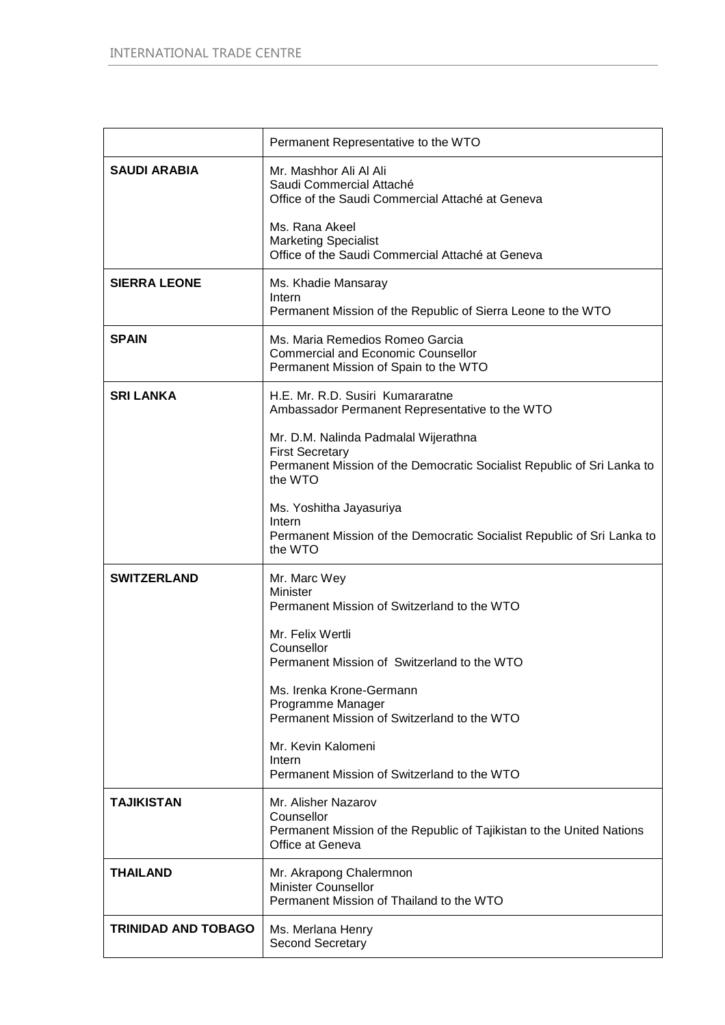|                            | Permanent Representative to the WTO                                                                                                                 |
|----------------------------|-----------------------------------------------------------------------------------------------------------------------------------------------------|
| <b>SAUDI ARABIA</b>        | Mr. Mashhor Ali Al Ali<br>Saudi Commercial Attaché<br>Office of the Saudi Commercial Attaché at Geneva                                              |
|                            | Ms. Rana Akeel<br><b>Marketing Specialist</b><br>Office of the Saudi Commercial Attaché at Geneva                                                   |
| <b>SIERRA LEONE</b>        | Ms. Khadie Mansaray<br>Intern<br>Permanent Mission of the Republic of Sierra Leone to the WTO                                                       |
| <b>SPAIN</b>               | Ms. Maria Remedios Romeo Garcia<br><b>Commercial and Economic Counsellor</b><br>Permanent Mission of Spain to the WTO                               |
| <b>SRI LANKA</b>           | H.E. Mr. R.D. Susiri Kumararatne<br>Ambassador Permanent Representative to the WTO                                                                  |
|                            | Mr. D.M. Nalinda Padmalal Wijerathna<br><b>First Secretary</b><br>Permanent Mission of the Democratic Socialist Republic of Sri Lanka to<br>the WTO |
|                            | Ms. Yoshitha Jayasuriya<br>Intern<br>Permanent Mission of the Democratic Socialist Republic of Sri Lanka to<br>the WTO                              |
| <b>SWITZERLAND</b>         | Mr. Marc Wey<br><b>Minister</b><br>Permanent Mission of Switzerland to the WTO                                                                      |
|                            | Mr. Felix Wertli<br>Counsellor<br>Permanent Mission of Switzerland to the WTO                                                                       |
|                            | Ms. Irenka Krone-Germann<br>Programme Manager<br>Permanent Mission of Switzerland to the WTO                                                        |
|                            | Mr. Kevin Kalomeni<br>Intern<br>Permanent Mission of Switzerland to the WTO                                                                         |
| <b>TAJIKISTAN</b>          | Mr. Alisher Nazarov<br>Counsellor<br>Permanent Mission of the Republic of Tajikistan to the United Nations<br>Office at Geneva                      |
| <b>THAILAND</b>            | Mr. Akrapong Chalermnon<br>Minister Counsellor<br>Permanent Mission of Thailand to the WTO                                                          |
| <b>TRINIDAD AND TOBAGO</b> | Ms. Merlana Henry<br>Second Secretary                                                                                                               |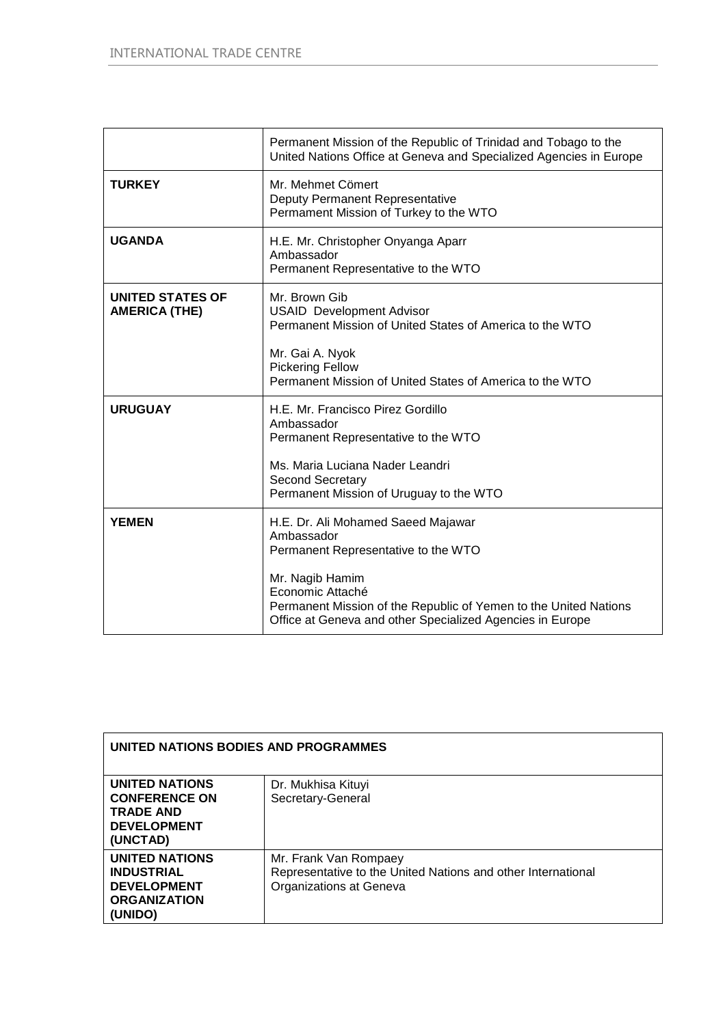|                                                 | Permanent Mission of the Republic of Trinidad and Tobago to the<br>United Nations Office at Geneva and Specialized Agencies in Europe                                                                                                                           |
|-------------------------------------------------|-----------------------------------------------------------------------------------------------------------------------------------------------------------------------------------------------------------------------------------------------------------------|
| <b>TURKEY</b>                                   | Mr. Mehmet Cömert<br>Deputy Permanent Representative<br>Permament Mission of Turkey to the WTO                                                                                                                                                                  |
| <b>UGANDA</b>                                   | H.E. Mr. Christopher Onyanga Aparr<br>Ambassador<br>Permanent Representative to the WTO                                                                                                                                                                         |
| <b>UNITED STATES OF</b><br><b>AMERICA (THE)</b> | Mr. Brown Gib<br><b>USAID</b> Development Advisor<br>Permanent Mission of United States of America to the WTO<br>Mr. Gai A. Nyok<br><b>Pickering Fellow</b><br>Permanent Mission of United States of America to the WTO                                         |
| <b>URUGUAY</b>                                  | H.E. Mr. Francisco Pirez Gordillo<br>Ambassador<br>Permanent Representative to the WTO<br>Ms. Maria Luciana Nader Leandri<br><b>Second Secretary</b><br>Permanent Mission of Uruguay to the WTO                                                                 |
| <b>YEMEN</b>                                    | H.E. Dr. Ali Mohamed Saeed Majawar<br>Ambassador<br>Permanent Representative to the WTO<br>Mr. Nagib Hamim<br>Economic Attaché<br>Permanent Mission of the Republic of Yemen to the United Nations<br>Office at Geneva and other Specialized Agencies in Europe |

| UNITED NATIONS BODIES AND PROGRAMMES                                                                |                                                                                                                  |  |
|-----------------------------------------------------------------------------------------------------|------------------------------------------------------------------------------------------------------------------|--|
| <b>UNITED NATIONS</b><br><b>CONFERENCE ON</b><br><b>TRADE AND</b><br><b>DEVELOPMENT</b><br>(UNCTAD) | Dr. Mukhisa Kituyi<br>Secretary-General                                                                          |  |
| <b>UNITED NATIONS</b><br><b>INDUSTRIAL</b><br><b>DEVELOPMENT</b><br><b>ORGANIZATION</b><br>(UNIDO)  | Mr. Frank Van Rompaey<br>Representative to the United Nations and other International<br>Organizations at Geneva |  |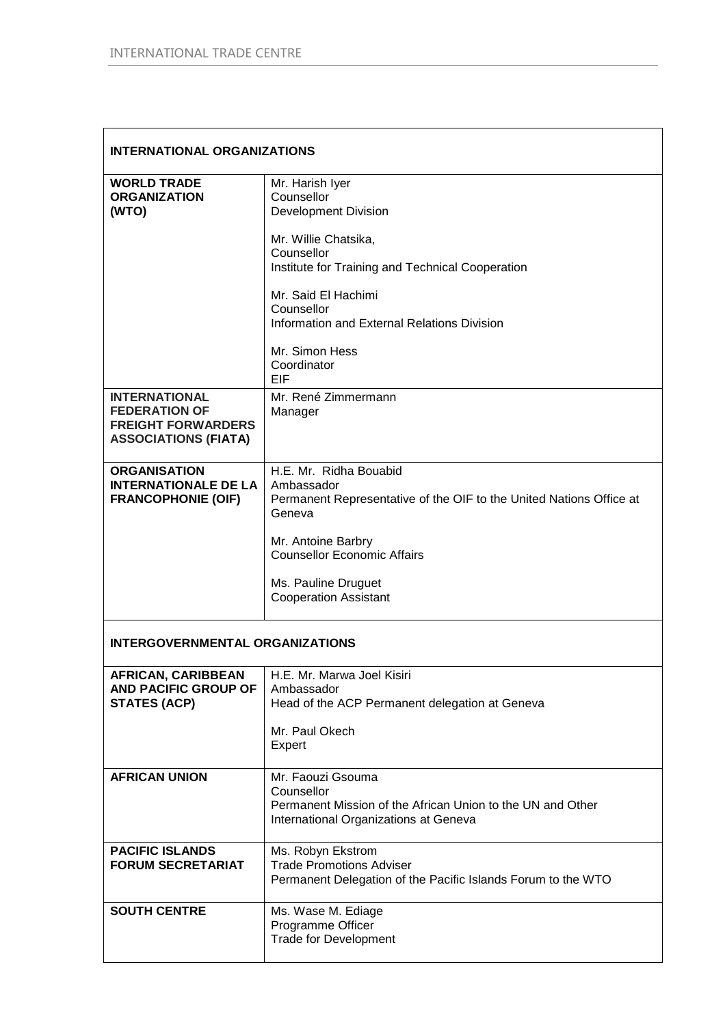| <b>INTERNATIONAL ORGANIZATIONS</b>                                                                       |                                                                                                                                        |  |
|----------------------------------------------------------------------------------------------------------|----------------------------------------------------------------------------------------------------------------------------------------|--|
| <b>WORLD TRADE</b><br><b>ORGANIZATION</b><br>(WTO)                                                       | Mr. Harish Iyer<br>Counsellor<br><b>Development Division</b>                                                                           |  |
|                                                                                                          | Mr. Willie Chatsika,<br>Counsellor                                                                                                     |  |
|                                                                                                          | Institute for Training and Technical Cooperation                                                                                       |  |
|                                                                                                          | Mr. Said El Hachimi<br>Counsellor                                                                                                      |  |
|                                                                                                          | Information and External Relations Division                                                                                            |  |
|                                                                                                          | Mr. Simon Hess<br>Coordinator<br>EIF                                                                                                   |  |
| <b>INTERNATIONAL</b><br><b>FEDERATION OF</b><br><b>FREIGHT FORWARDERS</b><br><b>ASSOCIATIONS (FIATA)</b> | Mr. René Zimmermann<br>Manager                                                                                                         |  |
| <b>ORGANISATION</b><br><b>INTERNATIONALE DE LA</b><br><b>FRANCOPHONIE (OIF)</b>                          | H.E. Mr. Ridha Bouabid<br>Ambassador<br>Permanent Representative of the OIF to the United Nations Office at<br>Geneva                  |  |
|                                                                                                          | Mr. Antoine Barbry<br><b>Counsellor Economic Affairs</b>                                                                               |  |
|                                                                                                          | Ms. Pauline Druguet<br><b>Cooperation Assistant</b>                                                                                    |  |
| <b>INTERGOVERNMENTAL ORGANIZATIONS</b>                                                                   |                                                                                                                                        |  |
| <b>AFRICAN, CARIBBEAN</b><br>AND PACIFIC GROUP OF                                                        | H.E. Mr. Marwa Joel Kisiri<br>Ambassador                                                                                               |  |
| <b>STATES (ACP)</b>                                                                                      | Head of the ACP Permanent delegation at Geneva                                                                                         |  |
|                                                                                                          | Mr. Paul Okech<br>Expert                                                                                                               |  |
| <b>AFRICAN UNION</b>                                                                                     | Mr. Faouzi Gsouma<br>Counsellor<br>Permanent Mission of the African Union to the UN and Other<br>International Organizations at Geneva |  |
| <b>PACIFIC ISLANDS</b><br><b>FORUM SECRETARIAT</b>                                                       | Ms. Robyn Ekstrom<br><b>Trade Promotions Adviser</b><br>Permanent Delegation of the Pacific Islands Forum to the WTO                   |  |
| <b>SOUTH CENTRE</b>                                                                                      | Ms. Wase M. Ediage<br>Programme Officer<br><b>Trade for Development</b>                                                                |  |